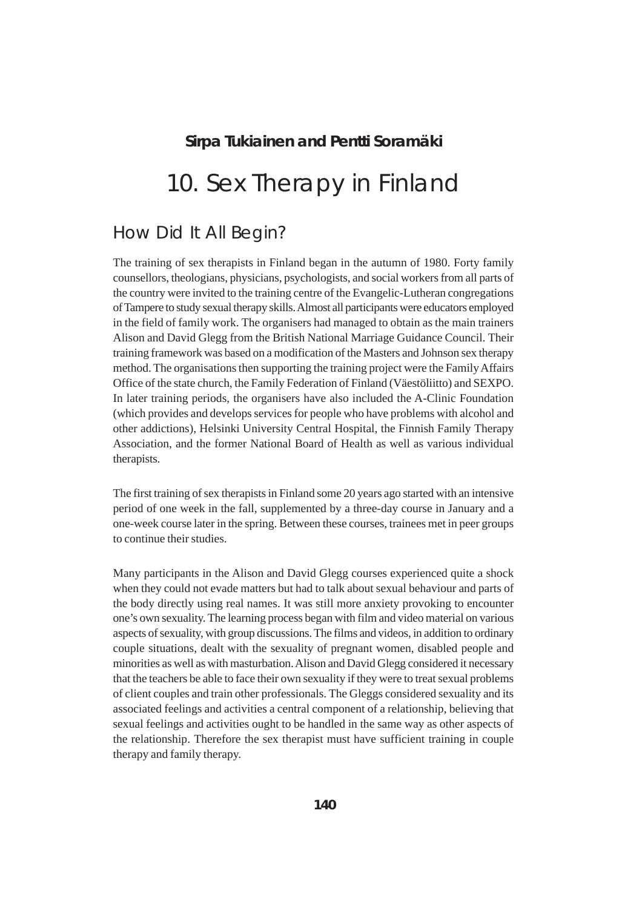### **Sirpa Tukiainen and Pentti Soramäki**

# 10. Sex Therapy in Finland

# How Did It All Begin?

The training of sex therapists in Finland began in the autumn of 1980. Forty family counsellors, theologians, physicians, psychologists, and social workers from all parts of the country were invited to the training centre of the Evangelic-Lutheran congregations of Tampere to study sexual therapy skills. Almost all participants were educators employed in the field of family work. The organisers had managed to obtain as the main trainers Alison and David Glegg from the British National Marriage Guidance Council. Their training framework was based on a modification of the Masters and Johnson sex therapy method. The organisations then supporting the training project were the Family Affairs Office of the state church, the Family Federation of Finland (Väestöliitto) and SEXPO. In later training periods, the organisers have also included the A-Clinic Foundation (which provides and develops services for people who have problems with alcohol and other addictions), Helsinki University Central Hospital, the Finnish Family Therapy Association, and the former National Board of Health as well as various individual therapists.

The first training of sex therapists in Finland some 20 years ago started with an intensive period of one week in the fall, supplemented by a three-day course in January and a one-week course later in the spring. Between these courses, trainees met in peer groups to continue their studies.

Many participants in the Alison and David Glegg courses experienced quite a shock when they could not evade matters but had to talk about sexual behaviour and parts of the body directly using real names. It was still more anxiety provoking to encounter one's own sexuality. The learning process began with film and video material on various aspects of sexuality, with group discussions. The films and videos, in addition to ordinary couple situations, dealt with the sexuality of pregnant women, disabled people and minorities as well as with masturbation. Alison and David Glegg considered it necessary that the teachers be able to face their own sexuality if they were to treat sexual problems of client couples and train other professionals. The Gleggs considered sexuality and its associated feelings and activities a central component of a relationship, believing that sexual feelings and activities ought to be handled in the same way as other aspects of the relationship. Therefore the sex therapist must have sufficient training in couple therapy and family therapy.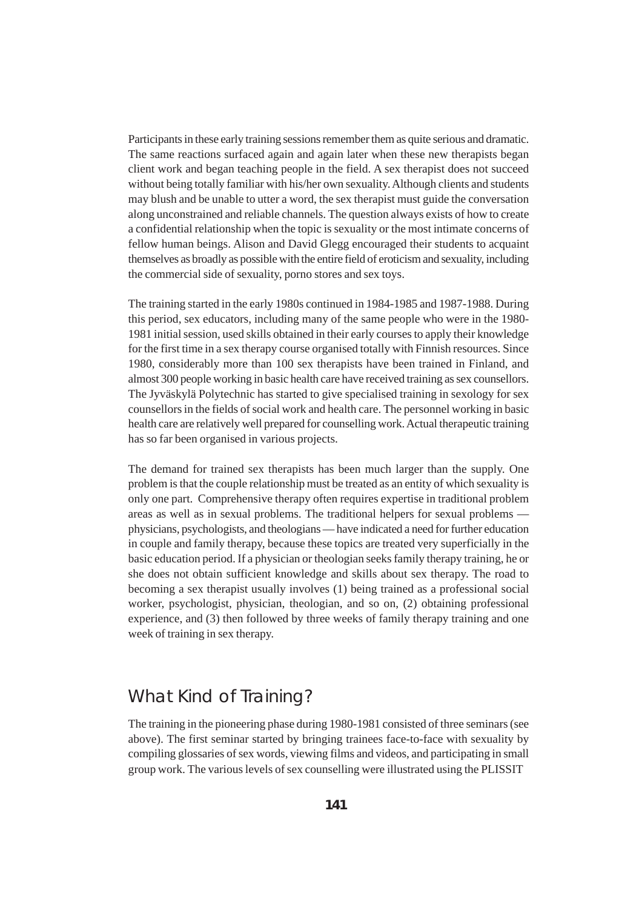Participants in these early training sessions remember them as quite serious and dramatic. The same reactions surfaced again and again later when these new therapists began client work and began teaching people in the field. A sex therapist does not succeed without being totally familiar with his/her own sexuality. Although clients and students may blush and be unable to utter a word, the sex therapist must guide the conversation along unconstrained and reliable channels. The question always exists of how to create a confidential relationship when the topic is sexuality or the most intimate concerns of fellow human beings. Alison and David Glegg encouraged their students to acquaint themselves as broadly as possible with the entire field of eroticism and sexuality, including the commercial side of sexuality, porno stores and sex toys.

The training started in the early 1980s continued in 1984-1985 and 1987-1988. During this period, sex educators, including many of the same people who were in the 1980- 1981 initial session, used skills obtained in their early courses to apply their knowledge for the first time in a sex therapy course organised totally with Finnish resources. Since 1980, considerably more than 100 sex therapists have been trained in Finland, and almost 300 people working in basic health care have received training as sex counsellors. The Jyväskylä Polytechnic has started to give specialised training in sexology for sex counsellors in the fields of social work and health care. The personnel working in basic health care are relatively well prepared for counselling work. Actual therapeutic training has so far been organised in various projects.

The demand for trained sex therapists has been much larger than the supply. One problem is that the couple relationship must be treated as an entity of which sexuality is only one part. Comprehensive therapy often requires expertise in traditional problem areas as well as in sexual problems. The traditional helpers for sexual problems physicians, psychologists, and theologians — have indicated a need for further education in couple and family therapy, because these topics are treated very superficially in the basic education period. If a physician or theologian seeks family therapy training, he or she does not obtain sufficient knowledge and skills about sex therapy. The road to becoming a sex therapist usually involves (1) being trained as a professional social worker, psychologist, physician, theologian, and so on, (2) obtaining professional experience, and (3) then followed by three weeks of family therapy training and one week of training in sex therapy.

### What Kind of Training?

The training in the pioneering phase during 1980-1981 consisted of three seminars (see above). The first seminar started by bringing trainees face-to-face with sexuality by compiling glossaries of sex words, viewing films and videos, and participating in small group work. The various levels of sex counselling were illustrated using the PLISSIT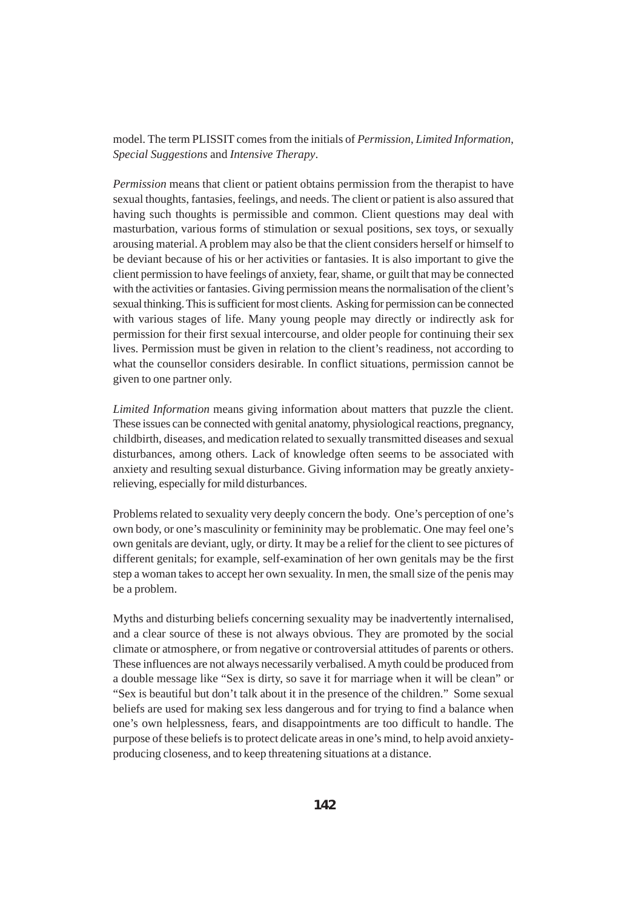model. The term PLISSIT comes from the initials of *Permission*, *Limited Information*, *Special Suggestions* and *Intensive Therapy*.

*Permission* means that client or patient obtains permission from the therapist to have sexual thoughts, fantasies, feelings, and needs. The client or patient is also assured that having such thoughts is permissible and common. Client questions may deal with masturbation, various forms of stimulation or sexual positions, sex toys, or sexually arousing material. A problem may also be that the client considers herself or himself to be deviant because of his or her activities or fantasies. It is also important to give the client permission to have feelings of anxiety, fear, shame, or guilt that may be connected with the activities or fantasies. Giving permission means the normalisation of the client's sexual thinking. This is sufficient for most clients. Asking for permission can be connected with various stages of life. Many young people may directly or indirectly ask for permission for their first sexual intercourse, and older people for continuing their sex lives. Permission must be given in relation to the client's readiness, not according to what the counsellor considers desirable. In conflict situations, permission cannot be given to one partner only.

*Limited Information* means giving information about matters that puzzle the client. These issues can be connected with genital anatomy, physiological reactions, pregnancy, childbirth, diseases, and medication related to sexually transmitted diseases and sexual disturbances, among others. Lack of knowledge often seems to be associated with anxiety and resulting sexual disturbance. Giving information may be greatly anxietyrelieving, especially for mild disturbances.

Problems related to sexuality very deeply concern the body. One's perception of one's own body, or one's masculinity or femininity may be problematic. One may feel one's own genitals are deviant, ugly, or dirty. It may be a relief for the client to see pictures of different genitals; for example, self-examination of her own genitals may be the first step a woman takes to accept her own sexuality. In men, the small size of the penis may be a problem.

Myths and disturbing beliefs concerning sexuality may be inadvertently internalised, and a clear source of these is not always obvious. They are promoted by the social climate or atmosphere, or from negative or controversial attitudes of parents or others. These influences are not always necessarily verbalised. A myth could be produced from a double message like "Sex is dirty, so save it for marriage when it will be clean" or "Sex is beautiful but don't talk about it in the presence of the children." Some sexual beliefs are used for making sex less dangerous and for trying to find a balance when one's own helplessness, fears, and disappointments are too difficult to handle. The purpose of these beliefs is to protect delicate areas in one's mind, to help avoid anxietyproducing closeness, and to keep threatening situations at a distance.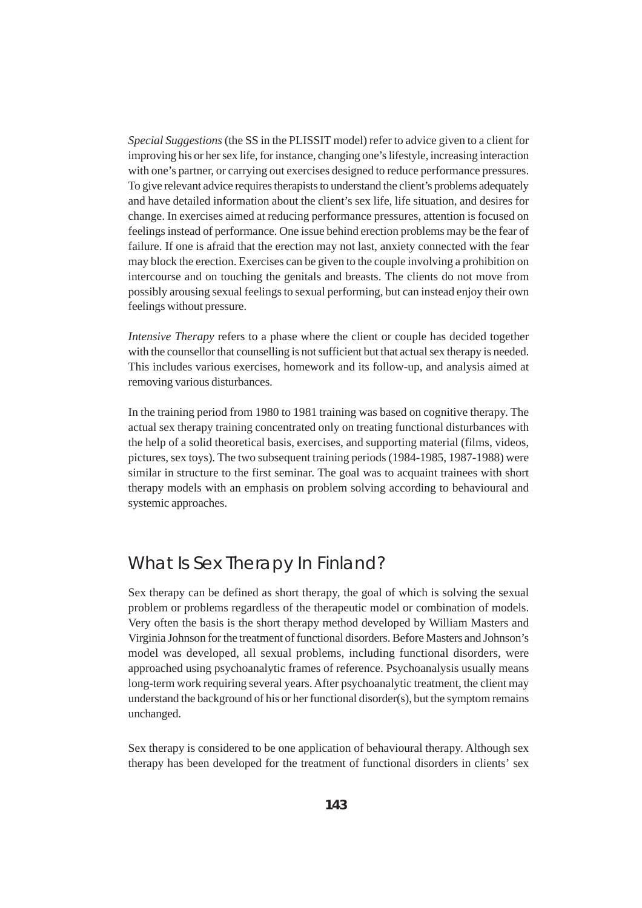*Special Suggestions* (the SS in the PLISSIT model) refer to advice given to a client for improving his or her sex life, for instance, changing one's lifestyle, increasing interaction with one's partner, or carrying out exercises designed to reduce performance pressures. To give relevant advice requires therapists to understand the client's problems adequately and have detailed information about the client's sex life, life situation, and desires for change. In exercises aimed at reducing performance pressures, attention is focused on feelings instead of performance. One issue behind erection problems may be the fear of failure. If one is afraid that the erection may not last, anxiety connected with the fear may block the erection. Exercises can be given to the couple involving a prohibition on intercourse and on touching the genitals and breasts. The clients do not move from possibly arousing sexual feelings to sexual performing, but can instead enjoy their own feelings without pressure.

*Intensive Therapy* refers to a phase where the client or couple has decided together with the counsellor that counselling is not sufficient but that actual sex therapy is needed. This includes various exercises, homework and its follow-up, and analysis aimed at removing various disturbances.

In the training period from 1980 to 1981 training was based on cognitive therapy. The actual sex therapy training concentrated only on treating functional disturbances with the help of a solid theoretical basis, exercises, and supporting material (films, videos, pictures, sex toys). The two subsequent training periods (1984-1985, 1987-1988) were similar in structure to the first seminar. The goal was to acquaint trainees with short therapy models with an emphasis on problem solving according to behavioural and systemic approaches.

## What Is Sex Therapy In Finland?

Sex therapy can be defined as short therapy, the goal of which is solving the sexual problem or problems regardless of the therapeutic model or combination of models. Very often the basis is the short therapy method developed by William Masters and Virginia Johnson for the treatment of functional disorders. Before Masters and Johnson's model was developed, all sexual problems, including functional disorders, were approached using psychoanalytic frames of reference. Psychoanalysis usually means long-term work requiring several years. After psychoanalytic treatment, the client may understand the background of his or her functional disorder(s), but the symptom remains unchanged.

Sex therapy is considered to be one application of behavioural therapy. Although sex therapy has been developed for the treatment of functional disorders in clients' sex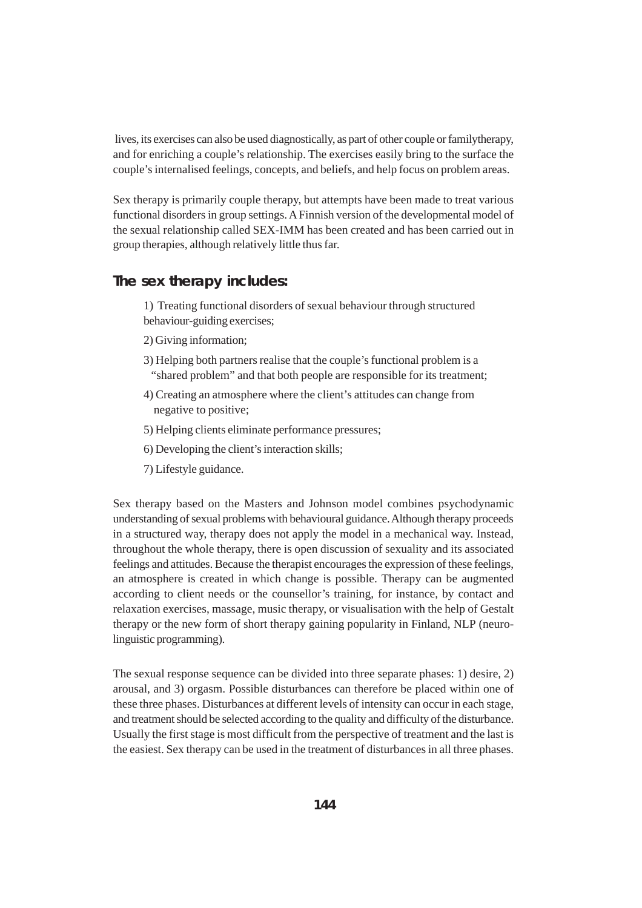lives, its exercises can also be used diagnostically, as part of other couple or familytherapy, and for enriching a couple's relationship. The exercises easily bring to the surface the couple's internalised feelings, concepts, and beliefs, and help focus on problem areas.

Sex therapy is primarily couple therapy, but attempts have been made to treat various functional disorders in group settings. A Finnish version of the developmental model of the sexual relationship called SEX-IMM has been created and has been carried out in group therapies, although relatively little thus far.

### **The sex therapy includes:**

1) Treating functional disorders of sexual behaviour through structured behaviour-guiding exercises;

- 2) Giving information;
- 3) Helping both partners realise that the couple's functional problem is a "shared problem" and that both people are responsible for its treatment;
- 4) Creating an atmosphere where the client's attitudes can change from negative to positive;
- 5) Helping clients eliminate performance pressures;
- 6) Developing the client's interaction skills;
- 7) Lifestyle guidance.

Sex therapy based on the Masters and Johnson model combines psychodynamic understanding of sexual problems with behavioural guidance. Although therapy proceeds in a structured way, therapy does not apply the model in a mechanical way. Instead, throughout the whole therapy, there is open discussion of sexuality and its associated feelings and attitudes. Because the therapist encourages the expression of these feelings, an atmosphere is created in which change is possible. Therapy can be augmented according to client needs or the counsellor's training, for instance, by contact and relaxation exercises, massage, music therapy, or visualisation with the help of Gestalt therapy or the new form of short therapy gaining popularity in Finland, NLP (neurolinguistic programming).

The sexual response sequence can be divided into three separate phases: 1) desire, 2) arousal, and 3) orgasm. Possible disturbances can therefore be placed within one of these three phases. Disturbances at different levels of intensity can occur in each stage, and treatment should be selected according to the quality and difficulty of the disturbance. Usually the first stage is most difficult from the perspective of treatment and the last is the easiest. Sex therapy can be used in the treatment of disturbances in all three phases.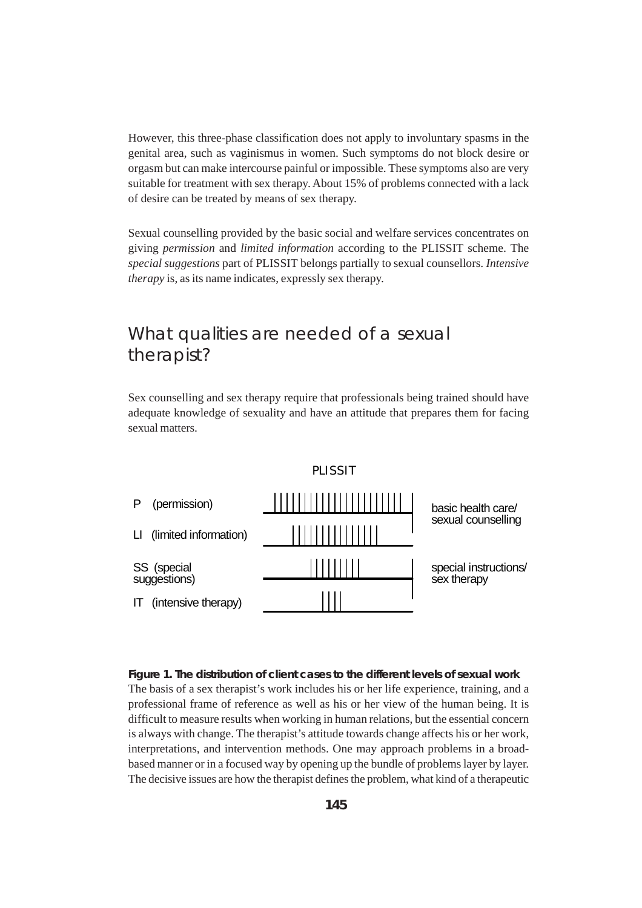However, this three-phase classification does not apply to involuntary spasms in the genital area, such as vaginismus in women. Such symptoms do not block desire or orgasm but can make intercourse painful or impossible. These symptoms also are very suitable for treatment with sex therapy. About 15% of problems connected with a lack of desire can be treated by means of sex therapy.

Sexual counselling provided by the basic social and welfare services concentrates on giving *permission* and *limited information* according to the PLISSIT scheme. The *special suggestions* part of PLISSIT belongs partially to sexual counsellors. *Intensive therapy* is, as its name indicates, expressly sex therapy.

## What qualities are needed of a sexual therapist?

Sex counselling and sex therapy require that professionals being trained should have adequate knowledge of sexuality and have an attitude that prepares them for facing sexual matters.



**Figure 1. The distribution of client cases to the different levels of sexual work** The basis of a sex therapist's work includes his or her life experience, training, and a professional frame of reference as well as his or her view of the human being. It is difficult to measure results when working in human relations, but the essential concern is always with change. The therapist's attitude towards change affects his or her work, interpretations, and intervention methods. One may approach problems in a broadbased manner or in a focused way by opening up the bundle of problems layer by layer. The decisive issues are how the therapist defines the problem, what kind of a therapeutic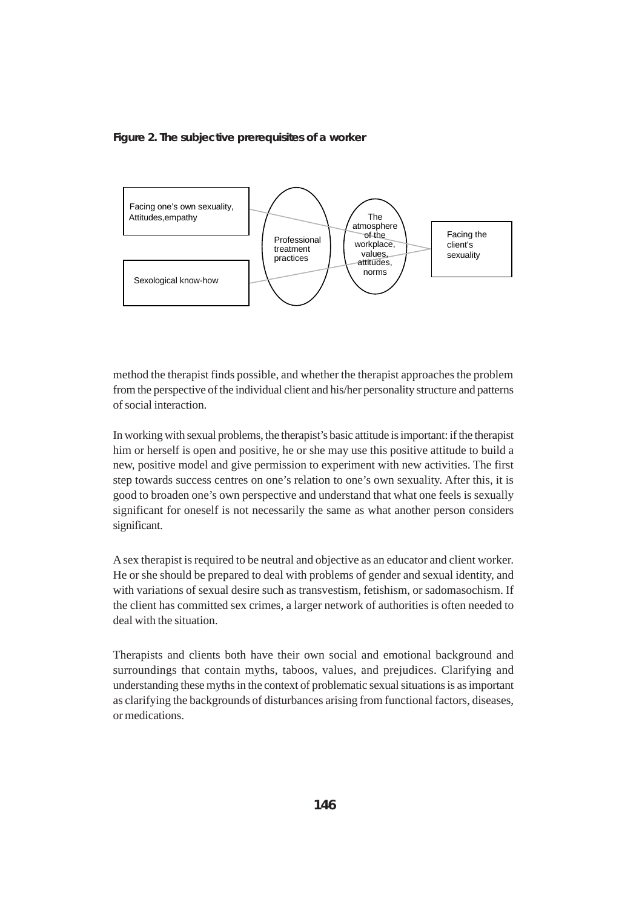#### **Figure 2. The subjective prerequisites of a worker**



method the therapist finds possible, and whether the therapist approaches the problem from the perspective of the individual client and his/her personality structure and patterns of social interaction.

In working with sexual problems, the therapist's basic attitude is important: if the therapist him or herself is open and positive, he or she may use this positive attitude to build a new, positive model and give permission to experiment with new activities. The first step towards success centres on one's relation to one's own sexuality. After this, it is good to broaden one's own perspective and understand that what one feels is sexually significant for oneself is not necessarily the same as what another person considers significant.

A sex therapist is required to be neutral and objective as an educator and client worker. He or she should be prepared to deal with problems of gender and sexual identity, and with variations of sexual desire such as transvestism, fetishism, or sadomasochism. If the client has committed sex crimes, a larger network of authorities is often needed to deal with the situation.

Therapists and clients both have their own social and emotional background and surroundings that contain myths, taboos, values, and prejudices. Clarifying and understanding these myths in the context of problematic sexual situations is as important as clarifying the backgrounds of disturbances arising from functional factors, diseases, or medications.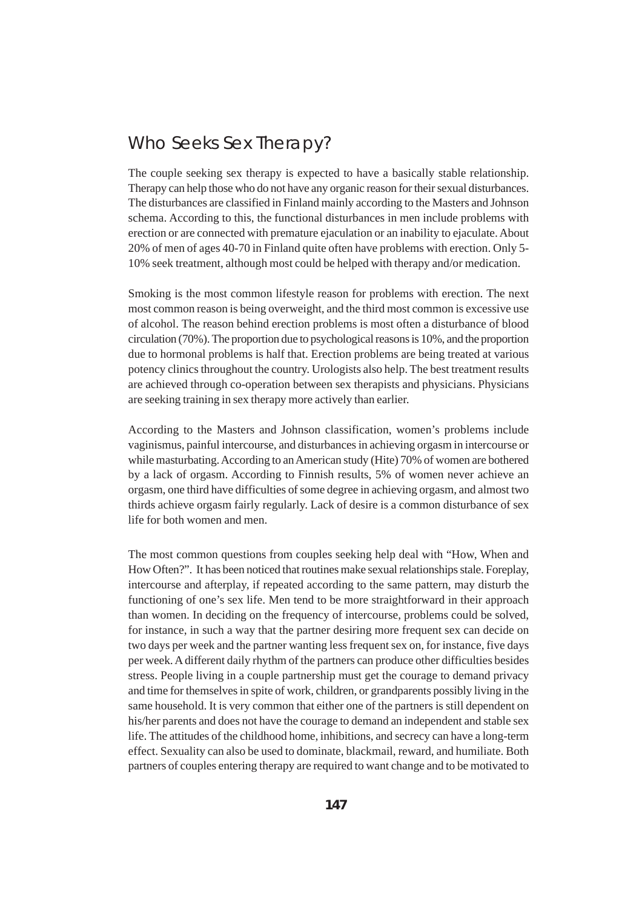### Who Seeks Sex Therapy?

The couple seeking sex therapy is expected to have a basically stable relationship. Therapy can help those who do not have any organic reason for their sexual disturbances. The disturbances are classified in Finland mainly according to the Masters and Johnson schema. According to this, the functional disturbances in men include problems with erection or are connected with premature ejaculation or an inability to ejaculate. About 20% of men of ages 40-70 in Finland quite often have problems with erection. Only 5- 10% seek treatment, although most could be helped with therapy and/or medication.

Smoking is the most common lifestyle reason for problems with erection. The next most common reason is being overweight, and the third most common is excessive use of alcohol. The reason behind erection problems is most often a disturbance of blood circulation (70%). The proportion due to psychological reasons is 10%, and the proportion due to hormonal problems is half that. Erection problems are being treated at various potency clinics throughout the country. Urologists also help. The best treatment results are achieved through co-operation between sex therapists and physicians. Physicians are seeking training in sex therapy more actively than earlier.

According to the Masters and Johnson classification, women's problems include vaginismus, painful intercourse, and disturbances in achieving orgasm in intercourse or while masturbating. According to an American study (Hite) 70% of women are bothered by a lack of orgasm. According to Finnish results, 5% of women never achieve an orgasm, one third have difficulties of some degree in achieving orgasm, and almost two thirds achieve orgasm fairly regularly. Lack of desire is a common disturbance of sex life for both women and men.

The most common questions from couples seeking help deal with "How, When and How Often?". It has been noticed that routines make sexual relationships stale. Foreplay, intercourse and afterplay, if repeated according to the same pattern, may disturb the functioning of one's sex life. Men tend to be more straightforward in their approach than women. In deciding on the frequency of intercourse, problems could be solved, for instance, in such a way that the partner desiring more frequent sex can decide on two days per week and the partner wanting less frequent sex on, for instance, five days per week. A different daily rhythm of the partners can produce other difficulties besides stress. People living in a couple partnership must get the courage to demand privacy and time for themselves in spite of work, children, or grandparents possibly living in the same household. It is very common that either one of the partners is still dependent on his/her parents and does not have the courage to demand an independent and stable sex life. The attitudes of the childhood home, inhibitions, and secrecy can have a long-term effect. Sexuality can also be used to dominate, blackmail, reward, and humiliate. Both partners of couples entering therapy are required to want change and to be motivated to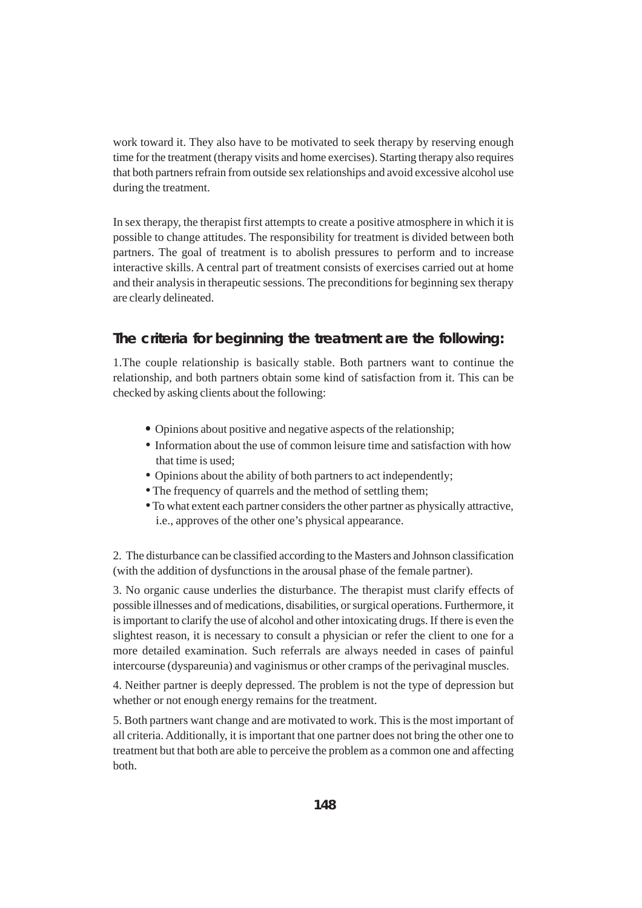work toward it. They also have to be motivated to seek therapy by reserving enough time for the treatment (therapy visits and home exercises). Starting therapy also requires that both partners refrain from outside sex relationships and avoid excessive alcohol use during the treatment.

In sex therapy, the therapist first attempts to create a positive atmosphere in which it is possible to change attitudes. The responsibility for treatment is divided between both partners. The goal of treatment is to abolish pressures to perform and to increase interactive skills. A central part of treatment consists of exercises carried out at home and their analysis in therapeutic sessions. The preconditions for beginning sex therapy are clearly delineated.

### **The criteria for beginning the treatment are the following:**

1.The couple relationship is basically stable. Both partners want to continue the relationship, and both partners obtain some kind of satisfaction from it. This can be checked by asking clients about the following:

- Opinions about positive and negative aspects of the relationship;
- Information about the use of common leisure time and satisfaction with how that time is used;
- Opinions about the ability of both partners to act independently;
- The frequency of quarrels and the method of settling them;
- •To what extent each partner considers the other partner as physically attractive, i.e., approves of the other one's physical appearance.

2. The disturbance can be classified according to the Masters and Johnson classification (with the addition of dysfunctions in the arousal phase of the female partner).

3. No organic cause underlies the disturbance. The therapist must clarify effects of possible illnesses and of medications, disabilities, or surgical operations. Furthermore, it is important to clarify the use of alcohol and other intoxicating drugs. If there is even the slightest reason, it is necessary to consult a physician or refer the client to one for a more detailed examination. Such referrals are always needed in cases of painful intercourse (dyspareunia) and vaginismus or other cramps of the perivaginal muscles.

4. Neither partner is deeply depressed. The problem is not the type of depression but whether or not enough energy remains for the treatment.

5. Both partners want change and are motivated to work. This is the most important of all criteria. Additionally, it is important that one partner does not bring the other one to treatment but that both are able to perceive the problem as a common one and affecting both.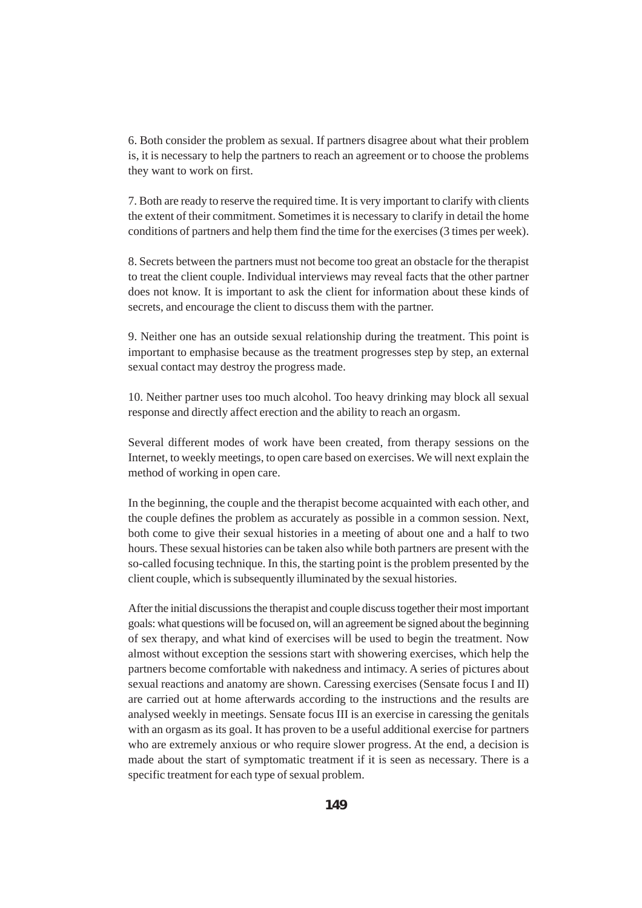6. Both consider the problem as sexual. If partners disagree about what their problem is, it is necessary to help the partners to reach an agreement or to choose the problems they want to work on first.

7. Both are ready to reserve the required time. It is very important to clarify with clients the extent of their commitment. Sometimes it is necessary to clarify in detail the home conditions of partners and help them find the time for the exercises (3 times per week).

8. Secrets between the partners must not become too great an obstacle for the therapist to treat the client couple. Individual interviews may reveal facts that the other partner does not know. It is important to ask the client for information about these kinds of secrets, and encourage the client to discuss them with the partner.

9. Neither one has an outside sexual relationship during the treatment. This point is important to emphasise because as the treatment progresses step by step, an external sexual contact may destroy the progress made.

10. Neither partner uses too much alcohol. Too heavy drinking may block all sexual response and directly affect erection and the ability to reach an orgasm.

Several different modes of work have been created, from therapy sessions on the Internet, to weekly meetings, to open care based on exercises. We will next explain the method of working in open care.

In the beginning, the couple and the therapist become acquainted with each other, and the couple defines the problem as accurately as possible in a common session. Next, both come to give their sexual histories in a meeting of about one and a half to two hours. These sexual histories can be taken also while both partners are present with the so-called focusing technique. In this, the starting point is the problem presented by the client couple, which is subsequently illuminated by the sexual histories.

After the initial discussions the therapist and couple discuss together their most important goals: what questions will be focused on, will an agreement be signed about the beginning of sex therapy, and what kind of exercises will be used to begin the treatment. Now almost without exception the sessions start with showering exercises, which help the partners become comfortable with nakedness and intimacy. A series of pictures about sexual reactions and anatomy are shown. Caressing exercises (Sensate focus I and II) are carried out at home afterwards according to the instructions and the results are analysed weekly in meetings. Sensate focus III is an exercise in caressing the genitals with an orgasm as its goal. It has proven to be a useful additional exercise for partners who are extremely anxious or who require slower progress. At the end, a decision is made about the start of symptomatic treatment if it is seen as necessary. There is a specific treatment for each type of sexual problem.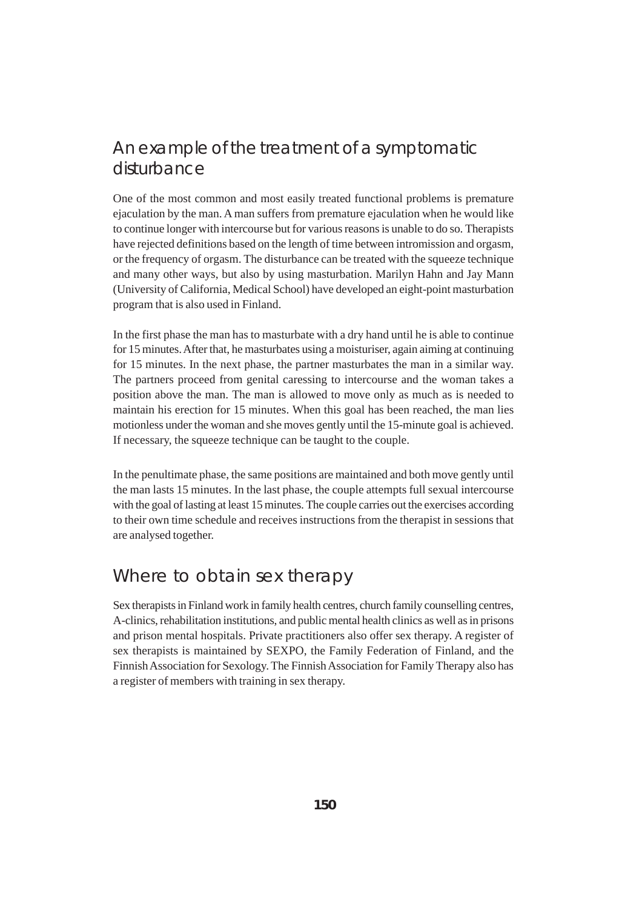# An example of the treatment of a symptomatic disturbance

One of the most common and most easily treated functional problems is premature ejaculation by the man. A man suffers from premature ejaculation when he would like to continue longer with intercourse but for various reasons is unable to do so. Therapists have rejected definitions based on the length of time between intromission and orgasm, or the frequency of orgasm. The disturbance can be treated with the squeeze technique and many other ways, but also by using masturbation. Marilyn Hahn and Jay Mann (University of California, Medical School) have developed an eight-point masturbation program that is also used in Finland.

In the first phase the man has to masturbate with a dry hand until he is able to continue for 15 minutes. After that, he masturbates using a moisturiser, again aiming at continuing for 15 minutes. In the next phase, the partner masturbates the man in a similar way. The partners proceed from genital caressing to intercourse and the woman takes a position above the man. The man is allowed to move only as much as is needed to maintain his erection for 15 minutes. When this goal has been reached, the man lies motionless under the woman and she moves gently until the 15-minute goal is achieved. If necessary, the squeeze technique can be taught to the couple.

In the penultimate phase, the same positions are maintained and both move gently until the man lasts 15 minutes. In the last phase, the couple attempts full sexual intercourse with the goal of lasting at least 15 minutes. The couple carries out the exercises according to their own time schedule and receives instructions from the therapist in sessions that are analysed together.

### Where to obtain sex therapy

Sex therapists in Finland work in family health centres, church family counselling centres, A-clinics, rehabilitation institutions, and public mental health clinics as well as in prisons and prison mental hospitals. Private practitioners also offer sex therapy. A register of sex therapists is maintained by SEXPO, the Family Federation of Finland, and the Finnish Association for Sexology. The Finnish Association for Family Therapy also has a register of members with training in sex therapy.